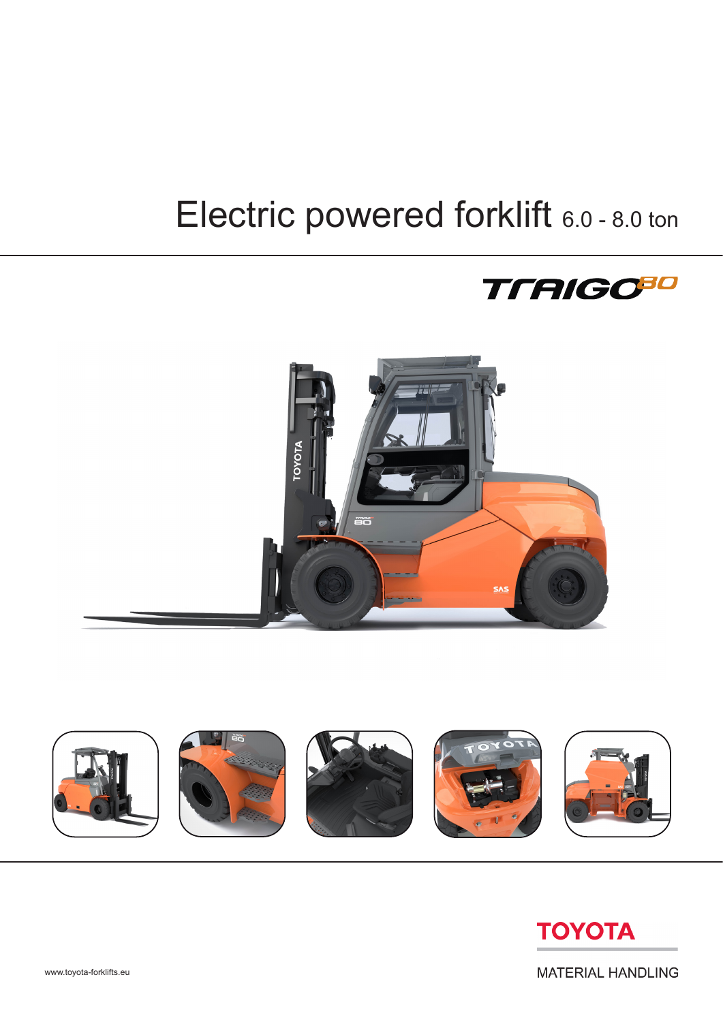## Electric powered forklift 6.0 - 8.0 ton









**MATERIAL HANDLING**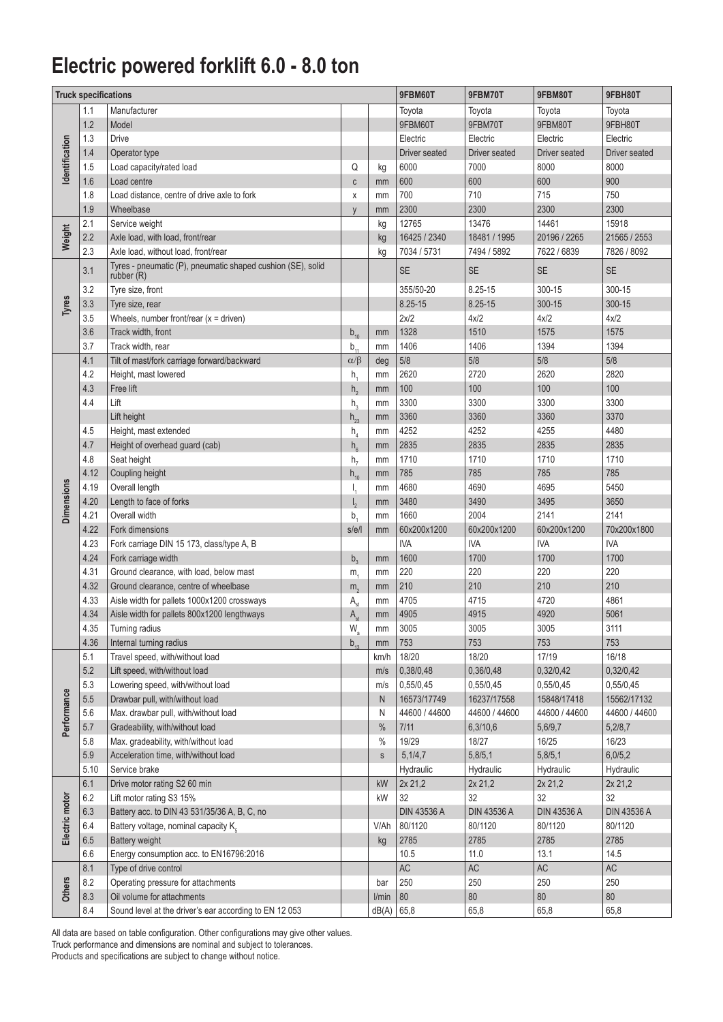## **Electric powered forklift 6.0 - 8.0 ton**

|                   | <b>Truck specifications</b> |                                                             | 9FBM60T               | 9FBM70T       | 9FBM80T            | 9FBH80T            |                      |                    |
|-------------------|-----------------------------|-------------------------------------------------------------|-----------------------|---------------|--------------------|--------------------|----------------------|--------------------|
|                   | 1.1                         | Manufacturer                                                |                       |               | Toyota             | Toyota             | Toyota               | Toyota             |
|                   | 1.2                         | Model                                                       |                       |               | 9FBM60T            | 9FBM70T            | 9FBM80T              | 9FBH80T            |
| dentification     | 1.3                         | <b>Drive</b>                                                |                       |               | Electric           | Electric           | Electric             | Electric           |
|                   | 1.4                         | Operator type                                               |                       |               | Driver seated      | Driver seated      | <b>Driver seated</b> | Driver seated      |
|                   | 1.5                         | Load capacity/rated load                                    | Q                     | kg            | 6000               | 7000               | 8000                 | 8000               |
|                   | 1.6                         | Load centre                                                 | $\mathsf c$           | mm            | 600                | 600                | 600                  | 900                |
|                   | 1.8                         | Load distance, centre of drive axle to fork                 | X                     | mm            | 700                | 710                | 715                  | 750                |
|                   | 1.9                         | Wheelbase                                                   | V                     | mm            | 2300               | 2300               | 2300                 | 2300               |
|                   | 2.1                         | Service weight                                              |                       | kg            | 12765              | 13476              | 14461                | 15918              |
| Weight            | 2.2                         | Axle load, with load, front/rear                            |                       | kg            | 16425 / 2340       | 18481 / 1995       | 20196 / 2265         | 21565 / 2553       |
|                   | 2.3                         | Axle load, without load, front/rear                         |                       | kg            | 7034 / 5731        | 7494 / 5892        | 7622 / 6839          | 7826 / 8092        |
|                   |                             | Tyres - pneumatic (P), pneumatic shaped cushion (SE), solid |                       |               |                    |                    |                      |                    |
|                   | 3.1                         | rubber (R)                                                  |                       |               | <b>SE</b>          | <b>SE</b>          | <b>SE</b>            | <b>SE</b>          |
|                   | 3.2                         | Tyre size, front                                            |                       |               | 355/50-20          | 8.25-15            | 300-15               | 300-15             |
| Tyres             | 3.3                         | Tyre size, rear                                             |                       |               | 8.25-15            | 8.25-15            | 300-15               | 300-15             |
|                   | 3.5                         | Wheels, number front/rear $(x =$ driven)                    |                       |               | 2x/2               | 4x/2               | 4x/2                 | 4x/2               |
|                   | 3.6                         | Track width, front                                          | $b_{10}$              | mm            | 1328               | 1510               | 1575                 | 1575               |
|                   | 3.7                         | Track width, rear                                           | $b_{11}$              | mm            | 1406               | 1406               | 1394                 | 1394               |
|                   | 4.1                         | Tilt of mast/fork carriage forward/backward                 | $\alpha/\beta$        | deg           | 5/8                | 5/8                | 5/8                  | 5/8                |
|                   | 4.2                         | Height, mast lowered                                        | $h_{1}$               | mm            | 2620               | 2720               | 2620                 | 2820               |
|                   | 4.3                         | Free lift                                                   | h <sub>2</sub>        | mm            | 100                | 100                | 100                  | 100                |
|                   | 4.4                         | Lift                                                        | $h_{\alpha}$          | mm            | 3300               | 3300               | 3300                 | 3300               |
|                   |                             | Lift height                                                 | $h_{23}$              | mm            | 3360               | 3360               | 3360                 | 3370               |
|                   | 4.5                         | Height, mast extended                                       | h <sub>4</sub>        | mm            | 4252               | 4252               | 4255                 | 4480               |
|                   | 4.7                         | Height of overhead guard (cab)                              | $h_{6}$               | mm            | 2835               | 2835               | 2835                 | 2835               |
|                   | 4.8                         | Seat height                                                 | h <sub>7</sub>        | mm            | 1710               | 1710               | 1710                 | 1710               |
|                   | 4.12                        | Coupling height                                             | $h_{10}$              | mm            | 785                | 785                | 785                  | 785                |
|                   | 4.19                        | Overall length                                              | I,                    | mm            | 4680               | 4690               | 4695                 | 5450               |
|                   | 4.20                        | Length to face of forks                                     | $I_{2}$               | mm            | 3480               | 3490               | 3495                 | 3650               |
| <b>Dimensions</b> | 4.21                        | Overall width                                               | b,                    | mm            | 1660               | 2004               | 2141                 | 2141               |
|                   | 4.22                        | Fork dimensions                                             | s/e/l                 | mm            | 60x200x1200        | 60x200x1200        | 60x200x1200          | 70x200x1800        |
|                   | 4.23                        | Fork carriage DIN 15 173, class/type A, B                   |                       |               | <b>IVA</b>         | <b>IVA</b>         | <b>IVA</b>           | <b>IVA</b>         |
|                   | 4.24                        | Fork carriage width                                         | $b_3$                 | mm            | 1600               | 1700               | 1700                 | 1700               |
|                   | 4.31                        | Ground clearance, with load, below mast                     | m <sub>1</sub>        | mm            | 220                | 220                | 220                  | 220                |
|                   | 4.32                        | Ground clearance, centre of wheelbase                       | m <sub>2</sub>        | mm            | 210                | 210                | 210                  | 210                |
|                   | 4.33                        | Aisle width for pallets 1000x1200 crossways                 | A <sub>st</sub>       | mm            | 4705               | 4715               | 4720                 | 4861               |
|                   | 4.34                        | Aisle width for pallets 800x1200 lengthways                 |                       | mm            | 4905               | 4915               | 4920                 | 5061               |
|                   | 4.35                        | Turning radius                                              | A <sub>st</sub><br>W. | mm            | 3005               | 3005               | 3005                 | 3111               |
|                   | 4.36                        | Internal turning radius                                     | a                     |               | 753                | 753                | 753                  | 753                |
|                   | 5.1                         | Travel speed, with/without load                             | $b_{13}$              | mm<br>km/h    | 18/20              | 18/20              | 17/19                | 16/18              |
|                   | $5.2\,$                     | Lift speed, with/without load                               |                       | m/s           | 0,38/0,48          | 0,36/0,48          | 0,32/0,42            | 0,32/0,42          |
|                   | 5.3                         | Lowering speed, with/without load                           |                       |               | 0,55/0,45          | 0,55/0,45          | 0,55/0,45            | 0,55/0,45          |
|                   | $5.5\,$                     | Drawbar pull, with/without load                             |                       | m/s<br>N      | 16573/17749        | 16237/17558        | 15848/17418          | 15562/17132        |
| Performance       | 5.6                         | Max. drawbar pull, with/without load                        |                       | N             | 44600 / 44600      | 44600 / 44600      | 44600 / 44600        | 44600 / 44600      |
|                   | 5.7                         | Gradeability, with/without load                             |                       | $\%$          | 7/11               | 6,3/10,6           | 5,6/9,7              | 5,2/8,7            |
|                   | 5.8                         | Max. gradeability, with/without load                        |                       | $\frac{0}{0}$ | 19/29              | 18/27              | 16/25                | 16/23              |
|                   | 5.9                         | Acceleration time, with/without load                        |                       | $\mathsf S$   | 5,1/4,7            | 5,8/5,1            | 5,8/5,1              | 6,0/5,2            |
|                   | 5.10                        | Service brake                                               |                       |               | Hydraulic          | Hydraulic          | Hydraulic            | Hydraulic          |
|                   | 6.1                         | Drive motor rating S2 60 min                                |                       | kW            | 2x 21,2            | 2x 21,2            | 2x 21,2              | 2x 21,2            |
|                   | 6.2                         | Lift motor rating S3 15%                                    |                       | kW            | 32                 | 32                 | 32                   | 32                 |
| Electric motor    | 6.3                         | Battery acc. to DIN 43 531/35/36 A, B, C, no                |                       |               | <b>DIN 43536 A</b> | <b>DIN 43536 A</b> | <b>DIN 43536 A</b>   | <b>DIN 43536 A</b> |
|                   | 6.4                         | Battery voltage, nominal capacity K <sub>5</sub>            |                       | V/Ah          | 80/1120            | 80/1120            | 80/1120              | 80/1120            |
|                   | 6.5                         | <b>Battery weight</b>                                       |                       | kg            | 2785               | 2785               | 2785                 | 2785               |
|                   | 6.6                         |                                                             |                       |               |                    |                    |                      |                    |
|                   |                             | Energy consumption acc. to EN16796:2016                     |                       |               | 10.5               | 11.0               | 13.1                 | 14.5               |
|                   | 8.1                         | Type of drive control                                       |                       |               | AC                 | AC                 | AC                   | AC                 |
| <b>Others</b>     | 8.2                         | Operating pressure for attachments                          |                       | bar           | 250                | 250                | 250                  | 250                |
|                   | 8.3                         | Oil volume for attachments                                  |                       | I/min         | $80\,$             | $80\,$             | $80\,$               | 80                 |
|                   | 8.4                         | Sound level at the driver's ear according to EN 12 053      |                       | dB(A)         | 65,8               | 65,8               | 65,8                 | 65,8               |

All data are based on table configuration. Other configurations may give other values. Truck performance and dimensions are nominal and subject to tolerances. Products and specifications are subject to change without notice.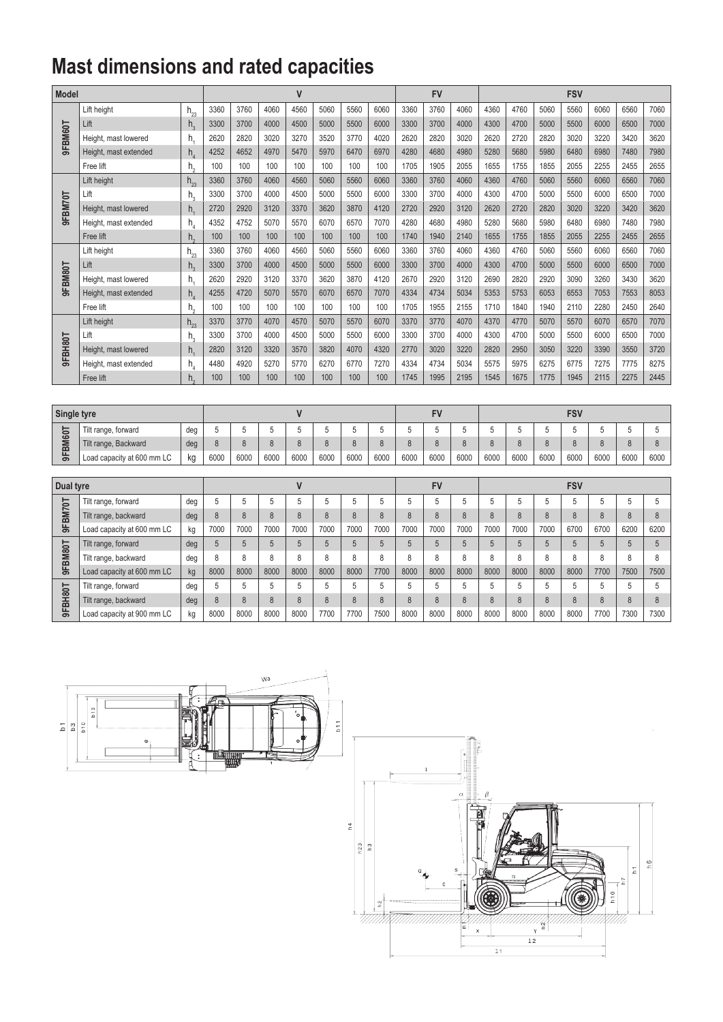## **Mast dimensions and rated capacities**

| Model   |                       |                            |      |      | $\mathsf{V}$ |      |      |      |      | <b>FV</b> |      | <b>FSV</b> |      |      |      |      |      |      |      |
|---------|-----------------------|----------------------------|------|------|--------------|------|------|------|------|-----------|------|------------|------|------|------|------|------|------|------|
|         | Lift height           | $h_{23}$                   | 3360 | 3760 | 4060         | 4560 | 5060 | 5560 | 6060 | 3360      | 3760 | 4060       | 4360 | 4760 | 5060 | 5560 | 6060 | 6560 | 7060 |
|         | Lift                  | $h_{3}$                    | 3300 | 3700 | 4000         | 4500 | 5000 | 5500 | 6000 | 3300      | 3700 | 4000       | 4300 | 4700 | 5000 | 5500 | 6000 | 6500 | 7000 |
| 9FBM60T | Height, mast lowered  | h,                         | 2620 | 2820 | 3020         | 3270 | 3520 | 3770 | 4020 | 2620      | 2820 | 3020       | 2620 | 2720 | 2820 | 3020 | 3220 | 3420 | 3620 |
|         | Height, mast extended | h,                         | 4252 | 4652 | 4970         | 5470 | 5970 | 6470 | 6970 | 4280      | 4680 | 4980       | 5280 | 5680 | 5980 | 6480 | 6980 | 7480 | 7980 |
|         | Free lift             | h,                         | 100  | 100  | 100          | 100  | 100  | 100  | 100  | 1705      | 1905 | 2055       | 1655 | 1755 | 1855 | 2055 | 2255 | 2455 | 2655 |
|         | Lift height           | $h_{23}$                   | 3360 | 3760 | 4060         | 4560 | 5060 | 5560 | 6060 | 3360      | 3760 | 4060       | 4360 | 4760 | 5060 | 5560 | 6060 | 6560 | 7060 |
|         | Lift                  | h,                         | 3300 | 3700 | 4000         | 4500 | 5000 | 5500 | 6000 | 3300      | 3700 | 4000       | 4300 | 4700 | 5000 | 5500 | 6000 | 6500 | 7000 |
| 9FBM70T | Height, mast lowered  | h,                         | 2720 | 2920 | 3120         | 3370 | 3620 | 3870 | 4120 | 2720      | 2920 | 3120       | 2620 | 2720 | 2820 | 3020 | 3220 | 3420 | 3620 |
|         | Height, mast extended | h,                         | 4352 | 4752 | 5070         | 5570 | 6070 | 6570 | 7070 | 4280      | 4680 | 4980       | 5280 | 5680 | 5980 | 6480 | 6980 | 7480 | 7980 |
|         | Free lift             | h,                         | 100  | 100  | 100          | 100  | 100  | 100  | 100  | 1740      | 1940 | 2140       | 1655 | 1755 | 1855 | 2055 | 2255 | 2455 | 2655 |
|         | Lift height           | $h_{23}$                   | 3360 | 3760 | 4060         | 4560 | 5060 | 5560 | 6060 | 3360      | 3760 | 4060       | 4360 | 4760 | 5060 | 5560 | 6060 | 6560 | 7060 |
|         | Lift                  | $h_{\mathcal{R}}$          | 3300 | 3700 | 4000         | 4500 | 5000 | 5500 | 6000 | 3300      | 3700 | 4000       | 4300 | 4700 | 5000 | 5500 | 6000 | 6500 | 7000 |
| 9FBM80T | Height, mast lowered  | h,                         | 2620 | 2920 | 3120         | 3370 | 3620 | 3870 | 4120 | 2670      | 2920 | 3120       | 2690 | 2820 | 2920 | 3090 | 3260 | 3430 | 3620 |
|         | Height, mast extended | $h_{\scriptscriptstyle A}$ | 4255 | 4720 | 5070         | 5570 | 6070 | 6570 | 7070 | 4334      | 4734 | 5034       | 5353 | 5753 | 6053 | 6553 | 7053 | 7553 | 8053 |
|         | Free lift             | h.                         | 100  | 100  | 100          | 100  | 100  | 100  | 100  | 1705      | 1955 | 2155       | 1710 | 1840 | 1940 | 2110 | 2280 | 2450 | 2640 |
|         | Lift height           | $h_{23}$                   | 3370 | 3770 | 4070         | 4570 | 5070 | 5570 | 6070 | 3370      | 3770 | 4070       | 4370 | 4770 | 5070 | 5570 | 6070 | 6570 | 7070 |
|         | Lift                  | h,                         | 3300 | 3700 | 4000         | 4500 | 5000 | 5500 | 6000 | 3300      | 3700 | 4000       | 4300 | 4700 | 5000 | 5500 | 6000 | 6500 | 7000 |
| 9FBH80T | Height, mast lowered  | h,                         | 2820 | 3120 | 3320         | 3570 | 3820 | 4070 | 4320 | 2770      | 3020 | 3220       | 2820 | 2950 | 3050 | 3220 | 3390 | 3550 | 3720 |
|         | Height, mast extended | h,                         | 4480 | 4920 | 5270         | 5770 | 6270 | 6770 | 7270 | 4334      | 4734 | 5034       | 5575 | 5975 | 6275 | 6775 | 7275 | 7775 | 8275 |
|         | Free lift             | h.                         | 100  | 100  | 100          | 100  | 100  | 100  | 100  | 1745      | 1995 | 2195       | 1545 | 1675 | 1775 | 1945 | 2115 | 2275 | 2445 |

| Single tyre  |                            |     |      |      |      |      |      |      |      |      | <b>FV</b> |      | FSV  |      |      |      |      |      |      |  |
|--------------|----------------------------|-----|------|------|------|------|------|------|------|------|-----------|------|------|------|------|------|------|------|------|--|
| っ<br>مه<br>ຶ | Tilt range, forward        | deg |      |      |      |      |      |      |      |      |           |      |      |      |      |      |      |      |      |  |
|              | Tilt range, Backward       | deg |      |      |      |      |      |      |      |      |           |      |      |      |      |      |      |      |      |  |
|              | Load capacity at 600 mm LC | кg  | 6000 | 6000 | 6000 | 6000 | 6000 | 6000 | 6000 | 6000 | 6000      | 6000 | 6000 | 6000 | 6000 | 6000 | 6000 | 6000 | 6000 |  |

| Dual tyre            |                            |     |               |      |      |      |               |      |      |      | <b>FV</b> |      | <b>FSV</b>           |      |      |          |      |              |      |  |
|----------------------|----------------------------|-----|---------------|------|------|------|---------------|------|------|------|-----------|------|----------------------|------|------|----------|------|--------------|------|--|
| 능<br><b>SM7</b><br>농 | Tilt range, forward        | deg |               | о    | 5    |      | b             | b    |      |      | b         |      |                      | b    |      |          | 5    |              |      |  |
|                      | Tilt range, backward       | deg | 8             |      | 8    |      | ň             | 8    |      | 8    | 8         |      |                      | 8    |      | 8        | 8    | 8            |      |  |
|                      | Load capacity at 600 mm LC | kg  | 7000          | 7000 | 7000 | 7000 | 7000          | 7000 | 7000 | 7000 | 7000      | 7000 | 7000                 | 7000 | 7000 | 6700     | 6700 | 6200         | 6200 |  |
| <b>BM80T</b>         | Tilt range, forward        | deg |               |      | 5    |      |               | 5    |      |      | 5         |      |                      | 5    |      |          | 5    |              |      |  |
|                      | Tilt range, backward       | deg | 8             | 8    | 8    |      | $\Omega$<br>ň | 8    |      | 8    | 8         |      | 8                    | 8    | 8    |          | 8    |              | ጸ    |  |
| 농                    | Load capacity at 600 mm LC | kg  | 8000          | 8000 | 8000 | 8000 | 8000          | 8000 | 7700 | 8000 | 8000      | 8000 | 8000                 | 8000 | 8000 | 8000     | 7700 | 7500         | 7500 |  |
| <b>H80T</b>          | Tilt range, forward        | deg | 5             |      | 5    |      |               | 5    |      |      | 5         |      |                      | 5    |      |          | 5    |              |      |  |
| ᅙ<br>농               | Tilt range, backward       | deg | $\Omega$<br>ŏ | C    | 8    |      | C             | 8    |      | 8    | 8         | 8    | $\Omega$<br>$\Omega$ | 8    | 8    | $\Omega$ | 8    | $\circ$<br>ŏ | ň    |  |
|                      | Load capacity at 900 mm LC | kg  | 8000          | 8000 | 8000 | 8000 | 7700          | 7700 | 7500 | 8000 | 8000      | 8000 | 8000                 | 8000 | 8000 | 8000     | 7700 | 7300         | 7300 |  |